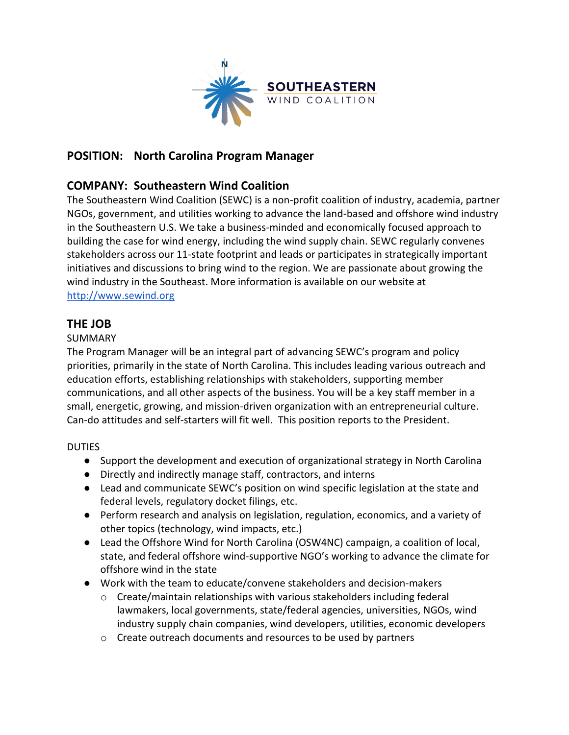

## **POSITION: North Carolina Program Manager**

### **COMPANY: Southeastern Wind Coalition**

The Southeastern Wind Coalition (SEWC) is a non-profit coalition of industry, academia, partner NGOs, government, and utilities working to advance the land-based and offshore wind industry in the Southeastern U.S. We take a business-minded and economically focused approach to building the case for wind energy, including the wind supply chain. SEWC regularly convenes stakeholders across our 11-state footprint and leads or participates in strategically important initiatives and discussions to bring wind to the region. We are passionate about growing the wind industry in the Southeast. More information is available on our website at [http://www.sewind.org](http://www.sewind.org/)

### **THE JOB**

#### SUMMARY

The Program Manager will be an integral part of advancing SEWC's program and policy priorities, primarily in the state of North Carolina. This includes leading various outreach and education efforts, establishing relationships with stakeholders, supporting member communications, and all other aspects of the business. You will be a key staff member in a small, energetic, growing, and mission-driven organization with an entrepreneurial culture. Can-do attitudes and self-starters will fit well. This position reports to the President.

#### DUTIES

- Support the development and execution of organizational strategy in North Carolina
- Directly and indirectly manage staff, contractors, and interns
- Lead and communicate SEWC's position on wind specific legislation at the state and federal levels, regulatory docket filings, etc.
- Perform research and analysis on legislation, regulation, economics, and a variety of other topics (technology, wind impacts, etc.)
- Lead the Offshore Wind for North Carolina (OSW4NC) campaign, a coalition of local, state, and federal offshore wind-supportive NGO's working to advance the climate for offshore wind in the state
- Work with the team to educate/convene stakeholders and decision-makers
	- $\circ$  Create/maintain relationships with various stakeholders including federal lawmakers, local governments, state/federal agencies, universities, NGOs, wind industry supply chain companies, wind developers, utilities, economic developers
	- o Create outreach documents and resources to be used by partners